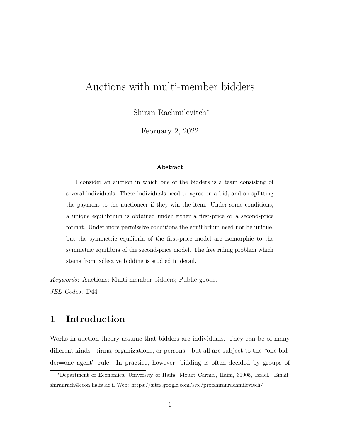## Auctions with multi-member bidders

Shiran Rachmilevitch<sup>∗</sup>

February 2, 2022

#### Abstract

I consider an auction in which one of the bidders is a team consisting of several individuals. These individuals need to agree on a bid, and on splitting the payment to the auctioneer if they win the item. Under some conditions, a unique equilibrium is obtained under either a first-price or a second-price format. Under more permissive conditions the equilibrium need not be unique, but the symmetric equilibria of the first-price model are isomorphic to the symmetric equilibria of the second-price model. The free riding problem which stems from collective bidding is studied in detail.

Keywords: Auctions; Multi-member bidders; Public goods. JEL Codes: D44

### 1 Introduction

Works in auction theory assume that bidders are individuals. They can be of many different kinds—firms, organizations, or persons—but all are subject to the "one bidder=one agent" rule. In practice, however, bidding is often decided by groups of

<sup>∗</sup>Department of Economics, University of Haifa, Mount Carmel, Haifa, 31905, Israel. Email: shiranrach@econ.haifa.ac.il Web: https://sites.google.com/site/profshiranrachmilevitch/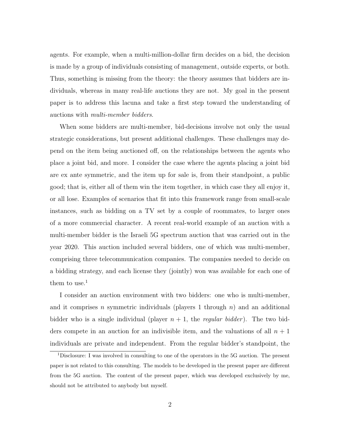agents. For example, when a multi-million-dollar firm decides on a bid, the decision is made by a group of individuals consisting of management, outside experts, or both. Thus, something is missing from the theory: the theory assumes that bidders are individuals, whereas in many real-life auctions they are not. My goal in the present paper is to address this lacuna and take a first step toward the understanding of auctions with multi-member bidders.

When some bidders are multi-member, bid-decisions involve not only the usual strategic considerations, but present additional challenges. These challenges may depend on the item being auctioned off, on the relationships between the agents who place a joint bid, and more. I consider the case where the agents placing a joint bid are ex ante symmetric, and the item up for sale is, from their standpoint, a public good; that is, either all of them win the item together, in which case they all enjoy it, or all lose. Examples of scenarios that fit into this framework range from small-scale instances, such as bidding on a TV set by a couple of roommates, to larger ones of a more commercial character. A recent real-world example of an auction with a multi-member bidder is the Israeli 5G spectrum auction that was carried out in the year 2020. This auction included several bidders, one of which was multi-member, comprising three telecommunication companies. The companies needed to decide on a bidding strategy, and each license they (jointly) won was available for each one of them to use. $<sup>1</sup>$ </sup>

I consider an auction environment with two bidders: one who is multi-member, and it comprises n symmetric individuals (players 1 through  $n$ ) and an additional bidder who is a single individual (player  $n + 1$ , the *regular bidder*). The two bidders compete in an auction for an indivisible item, and the valuations of all  $n + 1$ individuals are private and independent. From the regular bidder's standpoint, the

<sup>1</sup>Disclosure: I was involved in consulting to one of the operators in the 5G auction. The present paper is not related to this consulting. The models to be developed in the present paper are different from the 5G auction. The content of the present paper, which was developed exclusively by me, should not be attributed to anybody but myself.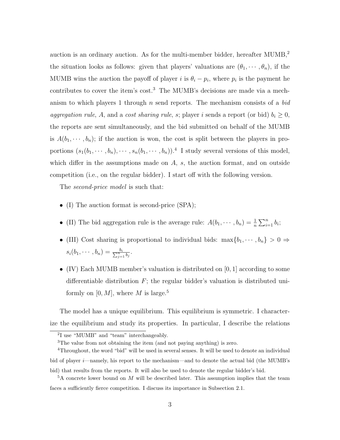auction is an ordinary auction. As for the multi-member bidder, hereafter  $MUMB<sub>z</sub><sup>2</sup>$ the situation looks as follows: given that players' valuations are  $(\theta_1, \dots, \theta_n)$ , if the MUMB wins the auction the payoff of player i is  $\theta_i - p_i$ , where  $p_i$  is the payment he contributes to cover the item's cost.<sup>3</sup> The MUMB's decisions are made via a mechanism to which players 1 through  $n$  send reports. The mechanism consists of a bid aggregation rule, A, and a cost sharing rule, s; player i sends a report (or bid)  $b_i \geq 0$ , the reports are sent simultaneously, and the bid submitted on behalf of the MUMB is  $A(b_1, \dots, b_n)$ ; if the auction is won, the cost is split between the players in proportions  $(s_1(b_1, \dots, b_n), \dots, s_n(b_1, \dots, b_n))$ .<sup>4</sup> I study several versions of this model, which differ in the assumptions made on  $A$ ,  $s$ , the auction format, and on outside competition (i.e., on the regular bidder). I start off with the following version.

The *second-price model* is such that:

- (I) The auction format is second-price (SPA);
- (II) The bid aggregation rule is the average rule:  $A(b_1, \dots, b_n) = \frac{1}{n} \sum_{i=1}^n b_i$ ;
- (III) Cost sharing is proportional to individual bids:  $\max\{b_1, \dots, b_n\} > 0 \Rightarrow$  $s_i(b_1, \dots, b_n) = \frac{b_i}{\sum_{j=1}^n b_j}.$
- (IV) Each MUMB member's valuation is distributed on  $[0, 1]$  according to some differentiable distribution  $F$ ; the regular bidder's valuation is distributed uniformly on [0, M], where M is large.<sup>5</sup>

The model has a unique equilibrium. This equilibrium is symmetric. I characterize the equilibrium and study its properties. In particular, I describe the relations

<sup>&</sup>lt;sup>2</sup>I use "MUMB" and "team" interchangeably.

<sup>3</sup>The value from not obtaining the item (and not paying anything) is zero.

<sup>&</sup>lt;sup>4</sup>Throughout, the word "bid" will be used in several senses. It will be used to denote an individual bid of player i—namely, his report to the mechanism—and to denote the actual bid (the MUMB's bid) that results from the reports. It will also be used to denote the regular bidder's bid.

<sup>5</sup>A concrete lower bound on M will be described later. This assumption implies that the team faces a sufficiently fierce competition. I discuss its importance in Subsection 2.1.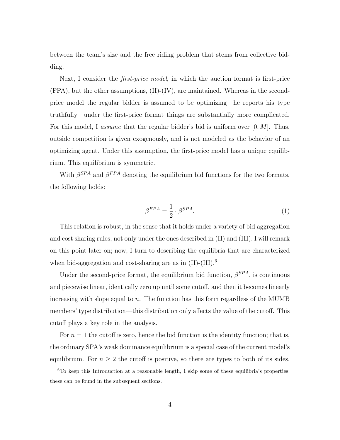between the team's size and the free riding problem that stems from collective bidding.

Next, I consider the *first-price model*, in which the auction format is first-price  $(FPA)$ , but the other assumptions,  $(II)-(IV)$ , are maintained. Whereas in the secondprice model the regular bidder is assumed to be optimizing—he reports his type truthfully—under the first-price format things are substantially more complicated. For this model, I assume that the regular bidder's bid is uniform over  $[0, M]$ . Thus, outside competition is given exogenously, and is not modeled as the behavior of an optimizing agent. Under this assumption, the first-price model has a unique equilibrium. This equilibrium is symmetric.

With  $\beta^{SPA}$  and  $\beta^{FPA}$  denoting the equilibrium bid functions for the two formats, the following holds:

$$
\beta^{FPA} = \frac{1}{2} \cdot \beta^{SPA}.
$$
 (1)

This relation is robust, in the sense that it holds under a variety of bid aggregation and cost sharing rules, not only under the ones described in (II) and (III). I will remark on this point later on; now, I turn to describing the equilibria that are characterized when bid-aggregation and cost-sharing are as in  $(II)-(III).<sup>6</sup>$ 

Under the second-price format, the equilibrium bid function,  $\beta^{SPA}$ , is continuous and piecewise linear, identically zero up until some cutoff, and then it becomes linearly increasing with slope equal to  $n$ . The function has this form regardless of the MUMB members' type distribution—this distribution only affects the value of the cutoff. This cutoff plays a key role in the analysis.

For  $n = 1$  the cutoff is zero, hence the bid function is the identity function; that is, the ordinary SPA's weak dominance equilibrium is a special case of the current model's equilibrium. For  $n \geq 2$  the cutoff is positive, so there are types to both of its sides.

 ${}^{6}$ To keep this Introduction at a reasonable length, I skip some of these equilibria's properties; these can be found in the subsequent sections.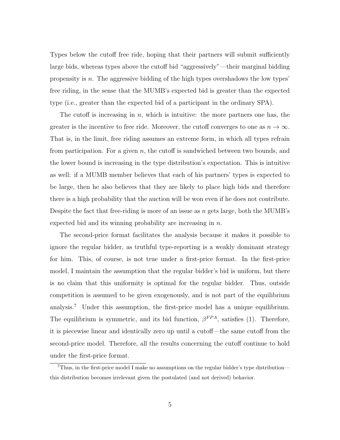Types below the cutoff free ride, hoping that their partners will submit sufficiently large bids, whereas types above the cutoff bid "aggressively"—their marginal bidding propensity is n. The aggressive bidding of the high types overshadows the low types' free riding, in the sense that the MUMB's expected bid is greater than the expected type (i.e., greater than the expected bid of a participant in the ordinary SPA).

The cutoff is increasing in  $n$ , which is intuitive: the more partners one has, the greater is the incentive to free ride. Moreover, the cutoff converges to one as  $n \to \infty$ . That is, in the limit, free riding assumes an extreme form, in which all types refrain from participation. For a given n, the cutoff is sandwiched between two bounds, and the lower bound is increasing in the type distribution's expectation. This is intuitive as well: if a MUMB member believes that each of his partners' types is expected to be large, then he also believes that they are likely to place high bids and therefore there is a high probability that the auction will be won even if he does not contribute. Despite the fact that free-riding is more of an issue as  $n$  gets large, both the MUMB's expected bid and its winning probability are increasing in  $n$ .

The second-price format facilitates the analysis because it makes it possible to ignore the regular bidder, as truthful type-reporting is a weakly dominant strategy for him. This, of course, is not true under a first-price format. In the first-price model, I maintain the assumption that the regular bidder's bid is uniform, but there is no claim that this uniformity is optimal for the regular bidder. Thus, outside competition is assumed to be given exogenously, and is not part of the equilibrium analysis.<sup>7</sup> Under this assumption, the first-price model has a unique equilibrium. The equilibrium is symmetric, and its bid function,  $\beta^{FPA}$ , satisfies (1). Therefore, it is piecewise linear and identically zero up until a cutoff—the same cutoff from the second-price model. Therefore, all the results concerning the cutoff continue to hold under the first-price format.

 $7$ Thus, in the first-price model I make no assumptions on the regular bidder's type distribution this distribution becomes irrelevant given the postulated (and not derived) behavior.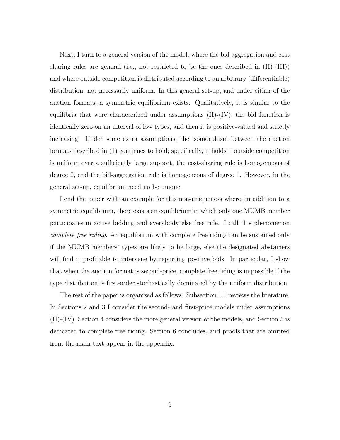Next, I turn to a general version of the model, where the bid aggregation and cost sharing rules are general (i.e., not restricted to be the ones described in (II)-(III)) and where outside competition is distributed according to an arbitrary (differentiable) distribution, not necessarily uniform. In this general set-up, and under either of the auction formats, a symmetric equilibrium exists. Qualitatively, it is similar to the equilibria that were characterized under assumptions  $(II)-(IV)$ : the bid function is identically zero on an interval of low types, and then it is positive-valued and strictly increasing. Under some extra assumptions, the isomorphism between the auction formats described in (1) continues to hold; specifically, it holds if outside competition is uniform over a sufficiently large support, the cost-sharing rule is homogeneous of degree 0, and the bid-aggregation rule is homogeneous of degree 1. However, in the general set-up, equilibrium need no be unique.

I end the paper with an example for this non-uniqueness where, in addition to a symmetric equilibrium, there exists an equilibrium in which only one MUMB member participates in active bidding and everybody else free ride. I call this phenomenon complete free riding. An equilibrium with complete free riding can be sustained only if the MUMB members' types are likely to be large, else the designated abstainers will find it profitable to intervene by reporting positive bids. In particular, I show that when the auction format is second-price, complete free riding is impossible if the type distribution is first-order stochastically dominated by the uniform distribution.

The rest of the paper is organized as follows. Subsection 1.1 reviews the literature. In Sections 2 and 3 I consider the second- and first-price models under assumptions (II)-(IV). Section 4 considers the more general version of the models, and Section 5 is dedicated to complete free riding. Section 6 concludes, and proofs that are omitted from the main text appear in the appendix.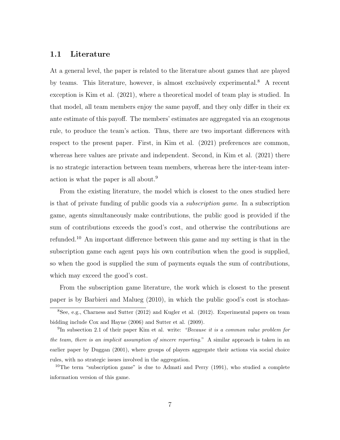#### 1.1 Literature

At a general level, the paper is related to the literature about games that are played by teams. This literature, however, is almost exclusively experimental.<sup>8</sup> A recent exception is Kim et al. (2021), where a theoretical model of team play is studied. In that model, all team members enjoy the same payoff, and they only differ in their ex ante estimate of this payoff. The members' estimates are aggregated via an exogenous rule, to produce the team's action. Thus, there are two important differences with respect to the present paper. First, in Kim et al. (2021) preferences are common, whereas here values are private and independent. Second, in Kim et al. (2021) there is no strategic interaction between team members, whereas here the inter-team interaction is what the paper is all about.<sup>9</sup>

From the existing literature, the model which is closest to the ones studied here is that of private funding of public goods via a subscription game. In a subscription game, agents simultaneously make contributions, the public good is provided if the sum of contributions exceeds the good's cost, and otherwise the contributions are refunded.<sup>10</sup> An important difference between this game and my setting is that in the subscription game each agent pays his own contribution when the good is supplied, so when the good is supplied the sum of payments equals the sum of contributions, which may exceed the good's cost.

From the subscription game literature, the work which is closest to the present paper is by Barbieri and Malueg (2010), in which the public good's cost is stochas-

 $8$ See, e.g., Charness and Sutter (2012) and Kugler et al. (2012). Experimental papers on team bidding include Cox and Hayne (2006) and Sutter et al. (2009).

 ${}^{9}$ In subsection 2.1 of their paper Kim et al. write: "Because it is a common value problem for the team, there is an implicit assumption of sincere reporting." A similar approach is taken in an earlier paper by Duggan (2001), where groups of players aggregate their actions via social choice rules, with no strategic issues involved in the aggregation.

<sup>&</sup>lt;sup>10</sup>The term "subscription game" is due to Admati and Perry  $(1991)$ , who studied a complete information version of this game.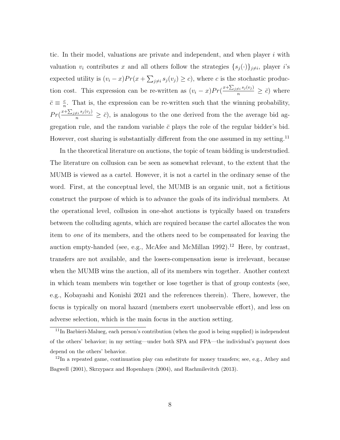tic. In their model, valuations are private and independent, and when player  $i$  with valuation  $v_i$  contributes x and all others follow the strategies  $\{s_j(\cdot)\}_{{j\neq i}}$ , player i's expected utility is  $(v_i - x)Pr(x + \sum_{j \neq i} s_j(v_j) \geq c)$ , where c is the stochastic production cost. This expression can be re-written as  $(v_i - x)Pr(\frac{x + \sum_{j \neq i} s_j(v_j)}{n} \geq \bar{c})$  where  $\bar{c}\equiv \frac{c}{n}$  $\frac{c}{n}$ . That is, the expression can be re-written such that the winning probability,  $Pr(\frac{x+\sum_{j\neq i} s_j(v_j)}{n} \geq \overline{c})$ , is analogous to the one derived from the the average bid aggregation rule, and the random variable  $\bar{c}$  plays the role of the regular bidder's bid. However, cost sharing is substantially different from the one assumed in my setting.<sup>11</sup>

In the theoretical literature on auctions, the topic of team bidding is understudied. The literature on collusion can be seen as somewhat relevant, to the extent that the MUMB is viewed as a cartel. However, it is not a cartel in the ordinary sense of the word. First, at the conceptual level, the MUMB is an organic unit, not a fictitious construct the purpose of which is to advance the goals of its individual members. At the operational level, collusion in one-shot auctions is typically based on transfers between the colluding agents, which are required because the cartel allocates the won item to one of its members, and the others need to be compensated for leaving the auction empty-handed (see, e.g., McAfee and McMillan 1992).<sup>12</sup> Here, by contrast, transfers are not available, and the losers-compensation issue is irrelevant, because when the MUMB wins the auction, all of its members win together. Another context in which team members win together or lose together is that of group contests (see, e.g., Kobayashi and Konishi 2021 and the references therein). There, however, the focus is typically on moral hazard (members exert unobservable effort), and less on adverse selection, which is the main focus in the auction setting.

<sup>&</sup>lt;sup>11</sup>In Barbieri-Malueg, each person's contribution (when the good is being supplied) is independent of the others' behavior; in my setting—under both SPA and FPA—the individual's payment does depend on the others' behavior.

 $12$ In a repeated game, continuation play can substitute for money transfers; see, e.g., Athey and Bagwell (2001), Skrzypacz and Hopenhayn (2004), and Rachmilevitch (2013).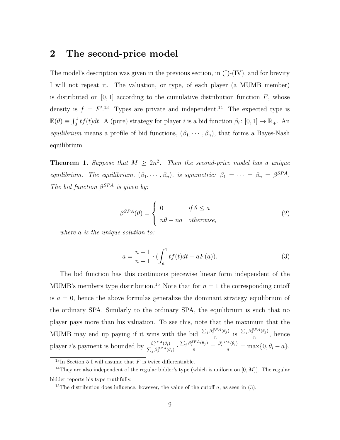#### 2 The second-price model

The model's description was given in the previous section, in  $(I)$ - $(V)$ , and for brevity I will not repeat it. The valuation, or type, of each player (a MUMB member) is distributed on  $[0, 1]$  according to the cumulative distribution function  $F$ , whose density is  $f = F'^{13}$  Types are private and independent.<sup>14</sup> The expected type is  $\mathbb{E}(\theta) \equiv \int_0^1 t f(t) dt$ . A (pure) strategy for player *i* is a bid function  $\beta_i : [0, 1] \to \mathbb{R}_+$ . An equilibrium means a profile of bid functions,  $(\beta_1, \dots, \beta_n)$ , that forms a Bayes-Nash equilibrium.

**Theorem 1.** Suppose that  $M \geq 2n^2$ . Then the second-price model has a unique equilibrium. The equilibrium,  $(\beta_1, \cdots, \beta_n)$ , is symmetric:  $\beta_1 = \cdots = \beta_n = \beta^{SPA}$ . The bid function  $\beta^{SPA}$  is given by:

$$
\beta^{SPA}(\theta) = \begin{cases} 0 & \text{if } \theta \le a \\ n\theta - na & \text{otherwise,} \end{cases}
$$
 (2)

where a is the unique solution to:

$$
a = \frac{n-1}{n+1} \cdot (\int_{a}^{1} tf(t)dt + aF(a)).
$$
\n(3)

The bid function has this continuous piecewise linear form independent of the MUMB's members type distribution.<sup>15</sup> Note that for  $n = 1$  the corresponding cutoff is  $a = 0$ , hence the above formulas generalize the dominant strategy equilibrium of the ordinary SPA. Similarly to the ordinary SPA, the equilibrium is such that no player pays more than his valuation. To see this, note that the maximum that the MUMB may end up paying if it wins with the bid  $\frac{\sum_j \beta_j^{SPA}(\theta_j)}{n}$  $\frac{\sum_j \beta_j^{SPA}(\theta_j)}{n}$  is  $\frac{\sum_j \beta_j^{SPA}(\theta_j)}{n}$  $\frac{(\nu_j)}{n}$ , hence player *i*'s payment is bounded by  $\frac{\beta_i^{SPA}(\theta_i)}{S^{SPA}(A)}$  $\frac{\beta_i^{SPA}(\theta_i)}{\sum_j \beta_j^{SPA}(\theta_j)} \cdot \frac{\sum_j \beta_j^{SPA}(\theta_j)}{n} = \frac{\beta_i^{SPA}(\theta_i)}{n} = \max\{0, \theta_i - a\}.$ 

 $13$ In Section 5 I will assume that F is twice differentiable.

<sup>&</sup>lt;sup>14</sup>They are also independent of the regular bidder's type (which is uniform on  $[0, M]$ ). The regular bidder reports his type truthfully.

<sup>&</sup>lt;sup>15</sup>The distribution does influence, however, the value of the cutoff  $a$ , as seen in (3).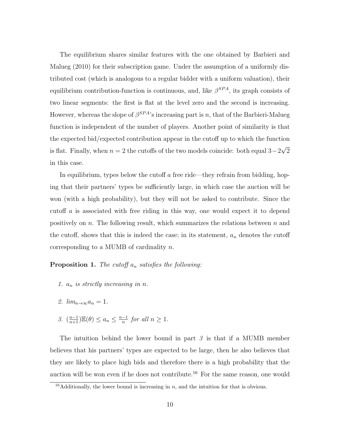The equilibrium shares similar features with the one obtained by Barbieri and Malueg (2010) for their subscription game. Under the assumption of a uniformly distributed cost (which is analogous to a regular bidder with a uniform valuation), their equilibrium contribution-function is continuous, and, like  $\beta^{SPA}$ , its graph consists of two linear segments: the first is flat at the level zero and the second is increasing. However, whereas the slope of  $\beta^{SPA}$ 's increasing part is n, that of the Barbieri-Malueg function is independent of the number of players. Another point of similarity is that the expected bid/expected contribution appear in the cutoff up to which the function is flat. Finally, when  $n = 2$  the cutoffs of the two models coincide: both equal  $3-2$ √ 2 in this case.

In equilibrium, types below the cutoff  $\alpha$  free ride—they refrain from bidding, hoping that their partners' types be sufficiently large, in which case the auction will be won (with a high probability), but they will not be asked to contribute. Since the cutoff a is associated with free riding in this way, one would expect it to depend positively on n. The following result, which summarizes the relations between n and the cutoff, shows that this is indeed the case; in its statement,  $a_n$  denotes the cutoff corresponding to a MUMB of cardinality n.

**Proposition 1.** The cutoff  $a_n$  satisfies the following:

- 1.  $a_n$  is strictly increasing in n.
- 2.  $lim_{n\to\infty}a_n=1$ .
- 3.  $\left(\frac{n-1}{n+1}\right) \mathbb{E}(\theta) \leq a_n \leq \frac{n-1}{n}$  $\frac{-1}{n}$  for all  $n \geq 1$ .

The intuition behind the lower bound in part 3 is that if a MUMB member believes that his partners' types are expected to be large, then he also believes that they are likely to place high bids and therefore there is a high probability that the auction will be won even if he does not contribute.<sup>16</sup> For the same reason, one would

<sup>&</sup>lt;sup>16</sup>Additionally, the lower bound is increasing in  $n$ , and the intuition for that is obvious.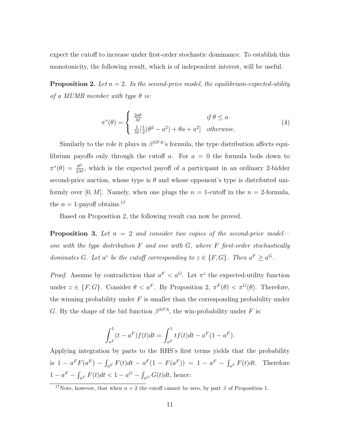expect the cutoff to increase under first-order stochastic dominance. To establish this monotonicity, the following result, which is of independent interest, will be useful.

**Proposition 2.** Let  $n = 2$ . In the second-price model, the equilibrium-expected-utility of a MUMB member with type  $\theta$  is:

$$
\pi^*(\theta) = \begin{cases} \frac{2a\theta}{M} & \text{if } \theta \le a\\ \frac{1}{M}[\frac{1}{2}(\theta^2 - a^2) + \theta a + a^2] & \text{otherwise.} \end{cases}
$$
(4)

Similarly to the role it plays in  $\beta^{SPA}$ 's formula, the type distribution affects equilibrium payoffs only through the cutoff a. For  $a = 0$  the formula boils down to  $\pi^*(\theta) = \frac{\theta^2}{2\lambda}$  $\frac{\theta^2}{2M}$ , which is the expected payoff of a participant in an ordinary 2-bidder second-price auction, whose type is  $\theta$  and whose opponent's type is distributed uniformly over [0, M]. Namely, when one plugs the  $n = 1$ -cutoff in the  $n = 2$ -formula, the  $n = 1$ -payoff obtains.<sup>17</sup>

Based on Proposition 2, the following result can now be proved.

**Proposition 3.** Let  $n = 2$  and consider two copies of the second-price model one with the type distribution  $F$  and one with  $G$ , where  $F$  first-order stochastically dominates G. Let  $a^z$  be the cutoff corresponding to  $z \in \{F, G\}$ . Then  $a^F \ge a^G$ .

*Proof.* Assume by contradiction that  $a^F < a^G$ . Let  $\pi^z$  the expected-utility function under  $z \in \{F, G\}$ . Consider  $\theta < a^F$ . By Proposition 2,  $\pi^F(\theta) < \pi^G(\theta)$ . Therefore, the winning probability under  $F$  is smaller than the corresponding probability under G. By the shape of the bid function  $\beta^{SPA}$ , the win-probability under F is:

$$
\int_{a^F}^{1} (t - a^F) f(t) dt = \int_{a^F}^{1} t f(t) dt - a^F (1 - a^F).
$$

Applying integration by parts to the RHS's first terms yields that the probability is  $1 - a^F F(a^F) - \int_{a^F} F(t) dt - a^F (1 - F(a^F)) = 1 - a^F - \int_{a^F} F(t) dt$ . Therefore  $1 - a^F - \int_{a^F} F(t)dt < 1 - a^G - \int_{a^G} G(t)dt$ , hence:

<sup>&</sup>lt;sup>17</sup>Note, however, that when  $n = 2$  the cutoff cannot be zero, by part 3 of Proposition 1.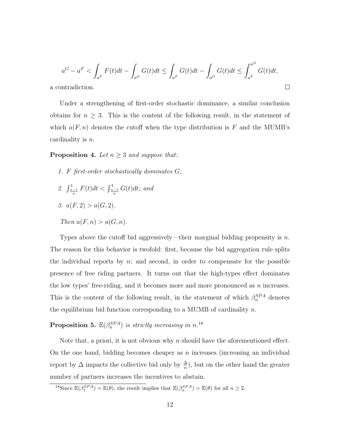$$
a^G - a^F < \int_{a^F} F(t)dt - \int_{a^G} G(t)dt \le \int_{a^F} G(t)dt - \int_{a^G} G(t)dt \le \int_{a^F}^{a^G} G(t)dt,
$$
\ncontradiction

a contradiction.

Under a strengthening of first-order stochastic dominance, a similar conclusion obtains for  $n \geq 3$ . This is the content of the following result, in the statement of which  $a(F, n)$  denotes the cutoff when the type distribution is F and the MUMB's cardinality is n.

**Proposition 4.** Let  $n \geq 3$  and suppose that:

- 1. F first-order stochastically dominates  $G$ ;
- 2.  $\int_{\frac{n-1}{n}}^{1} F(t)dt < \int_{\frac{n-1}{n}}^{1} G(t)dt$ ; and
- 3.  $a(F, 2) > a(G, 2)$ .
- Then  $a(F, n) > a(G, n)$ .

Types above the cutoff bid aggressively—their marginal bidding propensity is  $n$ . The reason for this behavior is twofold: first, because the bid aggregation rule splits the individual reports by  $n$ ; and second, in order to compensate for the possible presence of free riding partners. It turns out that the high-types effect dominates the low types' free-riding, and it becomes more and more pronounced as n increases. This is the content of the following result, in the statement of which  $\beta_n^{SPA}$  denotes the equilibrium bid function corresponding to a MUMB of cardinality  $n$ .

**Proposition 5.**  $\mathbb{E}(\beta_n^{SPA})$  is strictly increasing in n.<sup>18</sup>

Note that, a priori, it is not obvious why  $n$  should have the aforementioned effect. On the one hand, bidding becomes cheaper as n increases (increasing an individual report by  $\Delta$  impacts the collective bid only by  $\frac{\Delta}{n}$ , but on the other hand the greater number of partners increases the incentives to abstain.

<sup>&</sup>lt;sup>18</sup>Since  $\mathbb{E}(\beta_1^{SPA}) = \mathbb{E}(\theta)$ , the result implies that  $\mathbb{E}(\beta_n^{SPA}) > \mathbb{E}(\theta)$  for all  $n \geq 2$ .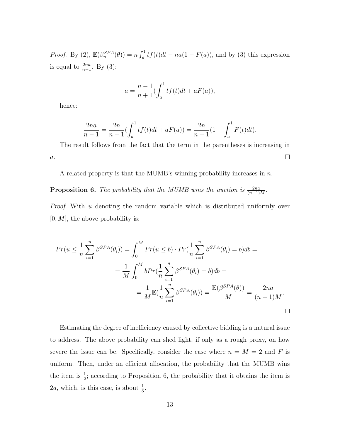*Proof.* By (2),  $\mathbb{E}(\beta_n^{SPA}(\theta)) = n \int_a^1 t f(t) dt - na(1 - F(a))$ , and by (3) this expression is equal to  $\frac{2na}{n-1}$ . By (3):

$$
a = \frac{n-1}{n+1} \left( \int_a^1 t f(t) dt + aF(a) \right),
$$

hence:

$$
\frac{2na}{n-1} = \frac{2n}{n+1} \left( \int_a^1 t f(t) dt + aF(a) \right) = \frac{2n}{n+1} (1 - \int_a^1 F(t) dt).
$$

The result follows from the fact that the term in the parentheses is increasing in  $\Box$  $a$ .

A related property is that the MUMB's winning probability increases in  $n$ .

**Proposition 6.** The probability that the MUMB wins the auction is  $\frac{2na}{(n-1)M}$ .

Proof. With u denoting the random variable which is distributed uniformly over  $[0, M]$ , the above probability is:

$$
Pr(u \leq \frac{1}{n} \sum_{i=1}^{n} \beta^{SPA}(\theta_i)) = \int_0^M Pr(u \leq b) \cdot Pr(\frac{1}{n} \sum_{i=1}^{n} \beta^{SPA}(\theta_i) = b)db =
$$
  
= 
$$
\frac{1}{M} \int_0^M bPr(\frac{1}{n} \sum_{i=1}^{n} \beta^{SPA}(\theta_i) = b)db =
$$
  
= 
$$
\frac{1}{M} \mathbb{E}(\frac{1}{n} \sum_{i=1}^{n} \beta^{SPA}(\theta_i)) = \frac{\mathbb{E}(\beta^{SPA}(\theta))}{M} = \frac{2na}{(n-1)M}.
$$

Estimating the degree of inefficiency caused by collective bidding is a natural issue to address. The above probability can shed light, if only as a rough proxy, on how severe the issue can be. Specifically, consider the case where  $n = M = 2$  and F is uniform. Then, under an efficient allocation, the probability that the MUMB wins the item is  $\frac{1}{2}$ ; according to Proposition 6, the probability that it obtains the item is 2*a*, which, is this case, is about  $\frac{1}{3}$ .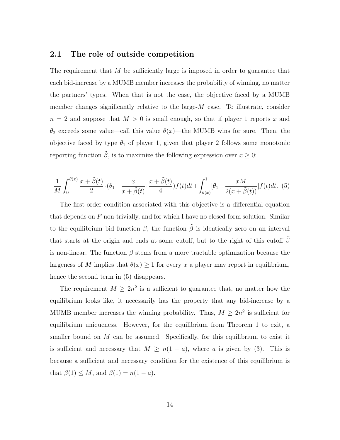#### 2.1 The role of outside competition

The requirement that M be sufficiently large is imposed in order to guarantee that each bid-increase by a MUMB member increases the probability of winning, no matter the partners' types. When that is not the case, the objective faced by a MUMB member changes significantly relative to the large- $M$  case. To illustrate, consider  $n = 2$  and suppose that  $M > 0$  is small enough, so that if player 1 reports x and  $\theta_2$  exceeds some value—call this value  $\theta(x)$ —the MUMB wins for sure. Then, the objective faced by type  $\theta_1$  of player 1, given that player 2 follows some monotonic reporting function  $\tilde{\beta}$ , is to maximize the following expression over  $x \geq 0$ :

$$
\frac{1}{M}\int_0^{\theta(x)}\frac{x+\tilde{\beta}(t)}{2}\cdot(\theta_1-\frac{x}{x+\tilde{\beta}(t)}\cdot\frac{x+\tilde{\beta}(t)}{4})f(t)dt+\int_{\theta(x)}^1[\theta_1-\frac{xM}{2(x+\tilde{\beta}(t))}]f(t)dt.
$$
 (5)

The first-order condition associated with this objective is a differential equation that depends on  $F$  non-trivially, and for which I have no closed-form solution. Similar to the equilibrium bid function  $\beta$ , the function  $\tilde{\beta}$  is identically zero on an interval that starts at the origin and ends at some cutoff, but to the right of this cutoff  $\beta$ is non-linear. The function  $\beta$  stems from a more tractable optimization because the largeness of M implies that  $\theta(x) \geq 1$  for every x a player may report in equilibrium, hence the second term in (5) disappears.

The requirement  $M \geq 2n^2$  is a sufficient to guarantee that, no matter how the equilibrium looks like, it necessarily has the property that any bid-increase by a MUMB member increases the winning probability. Thus,  $M \geq 2n^2$  is sufficient for equilibrium uniqueness. However, for the equilibrium from Theorem 1 to exit, a smaller bound on M can be assumed. Specifically, for this equilibrium to exist it is sufficient and necessary that  $M \geq n(1 - a)$ , where a is given by (3). This is because a sufficient and necessary condition for the existence of this equilibrium is that  $\beta(1) \leq M$ , and  $\beta(1) = n(1 - a)$ .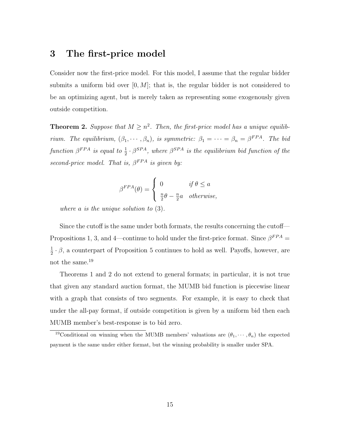#### 3 The first-price model

Consider now the first-price model. For this model, I assume that the regular bidder submits a uniform bid over  $[0, M]$ ; that is, the regular bidder is not considered to be an optimizing agent, but is merely taken as representing some exogenously given outside competition.

**Theorem 2.** Suppose that  $M \geq n^2$ . Then, the first-price model has a unique equilibrium. The equilibrium,  $(\beta_1, \dots, \beta_n)$ , is symmetric:  $\beta_1 = \dots = \beta_n = \beta^{FPA}$ . The bid function  $\beta^{FPA}$  is equal to  $\frac{1}{2} \cdot \beta^{SPA}$ , where  $\beta^{SPA}$  is the equilibrium bid function of the second-price model. That is,  $\beta^{FPA}$  is given by:

$$
\beta^{FPA}(\theta) = \begin{cases} 0 & \text{if } \theta \le a \\ \frac{n}{2}\theta - \frac{n}{2}a & \text{otherwise,} \end{cases}
$$

where a is the unique solution to (3).

Since the cutoff is the same under both formats, the results concerning the cutoff— Propositions 1, 3, and 4—continue to hold under the first-price format. Since  $\beta^{FPA}$  = 1  $\frac{1}{2} \cdot \beta$ , a counterpart of Proposition 5 continues to hold as well. Payoffs, however, are not the same.<sup>19</sup>

Theorems 1 and 2 do not extend to general formats; in particular, it is not true that given any standard auction format, the MUMB bid function is piecewise linear with a graph that consists of two segments. For example, it is easy to check that under the all-pay format, if outside competition is given by a uniform bid then each MUMB member's best-response is to bid zero.

<sup>&</sup>lt;sup>19</sup>Conditional on winning when the MUMB members' valuations are  $(\theta_1, \dots, \theta_n)$  the expected payment is the same under either format, but the winning probability is smaller under SPA.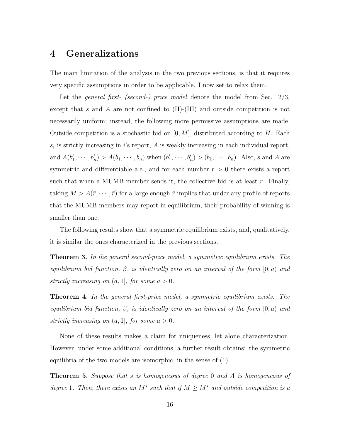### 4 Generalizations

The main limitation of the analysis in the two previous sections, is that it requires very specific assumptions in order to be applicable. I now set to relax them.

Let the *general first- (second-) price model* denote the model from Sec.  $2/3$ , except that s and A are not confined to  $(II)$ - $(III)$  and outside competition is not necessarily uniform; instead, the following more permissive assumptions are made. Outside competition is a stochastic bid on  $[0, M]$ , distributed according to H. Each  $s_i$  is strictly increasing in i's report, A is weakly increasing in each individual report, and  $A(b'_1, \dots, b'_n) > A(b_1, \dots, b_n)$  when  $(b'_1, \dots, b'_n) > (b_1, \dots, b_n)$ . Also, s and A are symmetric and differentiable a.e., and for each number  $r > 0$  there exists a report such that when a MUMB member sends it, the collective bid is at least  $r$ . Finally, taking  $M > A(\bar{r}, \dots, \bar{r})$  for a large enough  $\bar{r}$  implies that under any profile of reports that the MUMB members may report in equilibrium, their probability of winning is smaller than one.

The following results show that a symmetric equilibrium exists, and, qualitatively, it is similar the ones characterized in the previous sections.

Theorem 3. In the general second-price model, a symmetric equilibrium exists. The equilibrium bid function,  $\beta$ , is identically zero on an interval of the form  $[0, a)$  and strictly increasing on  $(a, 1]$ , for some  $a > 0$ .

Theorem 4. In the general first-price model, a symmetric equilibrium exists. The equilibrium bid function,  $\beta$ , is identically zero on an interval of the form  $[0, a)$  and strictly increasing on  $(a, 1]$ , for some  $a > 0$ .

None of these results makes a claim for uniqueness, let alone characterization. However, under some additional conditions, a further result obtains: the symmetric equilibria of the two models are isomorphic, in the sense of (1).

**Theorem 5.** Suppose that s is homogeneous of degree 0 and A is homogeneous of degree 1. Then, there exists an  $M^*$  such that if  $M \geq M^*$  and outside competition is a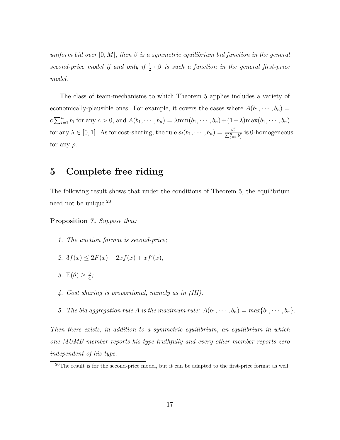uniform bid over [0, M], then  $\beta$  is a symmetric equilibrium bid function in the general second-price model if and only if  $\frac{1}{2} \cdot \beta$  is such a function in the general first-price model.

The class of team-mechanisms to which Theorem 5 applies includes a variety of economically-plausible ones. For example, it covers the cases where  $A(b_1, \dots, b_n) =$  $c \sum_{i=1}^{n} b_i$  for any  $c > 0$ , and  $A(b_1, \dots, b_n) = \lambda \min(b_1, \dots, b_n) + (1 - \lambda) \max(b_1, \dots, b_n)$ for any  $\lambda \in [0,1]$ . As for cost-sharing, the rule  $s_i(b_1,\dots,b_n) = \frac{b_i^{\rho}}{\sum_{j=1}^n b_j^{\rho}}$  is 0-homogeneous for any  $\rho$ .

#### 5 Complete free riding

The following result shows that under the conditions of Theorem 5, the equilibrium need not be unique.<sup>20</sup>

Proposition 7. Suppose that:

- 1. The auction format is second-price;
- 2.  $3f(x) \leq 2F(x) + 2xf(x) + xf'(x);$
- 3.  $\mathbb{E}(\theta) \geq \frac{3}{4}$  $\frac{3}{4}$ ;
- 4. Cost sharing is proportional, namely as in (III).
- 5. The bid aggregation rule A is the maximum rule:  $A(b_1, \dots, b_n) = max\{b_1, \dots, b_n\}.$

Then there exists, in addition to a symmetric equilibrium, an equilibrium in which one MUMB member reports his type truthfully and every other member reports zero independent of his type.

 $^{20}$ The result is for the second-price model, but it can be adapted to the first-price format as well.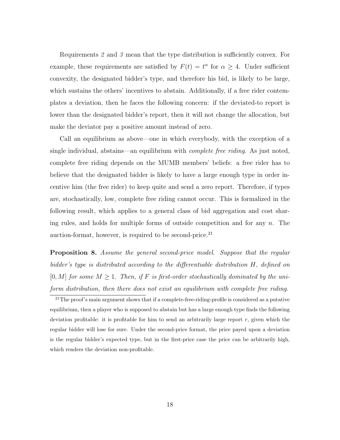Requirements 2 and 3 mean that the type distribution is sufficiently convex. For example, these requirements are satisfied by  $F(t) = t^{\alpha}$  for  $\alpha \geq 4$ . Under sufficient convexity, the designated bidder's type, and therefore his bid, is likely to be large, which sustains the others' incentives to abstain. Additionally, if a free rider contemplates a deviation, then he faces the following concern: if the deviated-to report is lower than the designated bidder's report, then it will not change the allocation, but make the deviator pay a positive amount instead of zero.

Call an equilibrium as above—one in which everybody, with the exception of a single individual, abstains—an equilibrium with *complete free riding*. As just noted, complete free riding depends on the MUMB members' beliefs: a free rider has to believe that the designated bidder is likely to have a large enough type in order incentive him (the free rider) to keep quite and send a zero report. Therefore, if types are, stochastically, low, complete free riding cannot occur. This is formalized in the following result, which applies to a general class of bid aggregation and cost sharing rules, and holds for multiple forms of outside competition and for any  $n$ . The auction-format, however, is required to be second-price. $^{21}$ 

**Proposition 8.** Assume the general second-price model. Suppose that the regular bidder's type is distributed according to the differentiable distribution H, defined on  $[0, M]$  for some  $M \geq 1$ . Then, if F is first-order stochastically dominated by the uniform distribution, then there does not exist an equilibrium with complete free riding.

 $21$ The proof's main argument shows that if a complete-free-riding-profile is considered as a putative equilibrium, then a player who is supposed to abstain but has a large enough type finds the following deviation profitable: it is profitable for him to send an arbitrarily large report  $r$ , given which the regular bidder will lose for sure. Under the second-price format, the price payed upon a deviation is the regular bidder's expected type, but in the first-price case the price can be arbitrarily high, which renders the deviation non-profitable.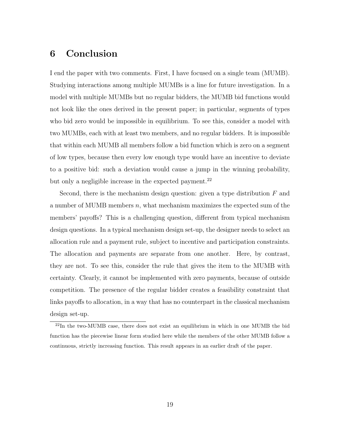## 6 Conclusion

I end the paper with two comments. First, I have focused on a single team (MUMB). Studying interactions among multiple MUMBs is a line for future investigation. In a model with multiple MUMBs but no regular bidders, the MUMB bid functions would not look like the ones derived in the present paper; in particular, segments of types who bid zero would be impossible in equilibrium. To see this, consider a model with two MUMBs, each with at least two members, and no regular bidders. It is impossible that within each MUMB all members follow a bid function which is zero on a segment of low types, because then every low enough type would have an incentive to deviate to a positive bid: such a deviation would cause a jump in the winning probability, but only a negligible increase in the expected payment.<sup>22</sup>

Second, there is the mechanism design question: given a type distribution  $F$  and a number of MUMB members  $n$ , what mechanism maximizes the expected sum of the members' payoffs? This is a challenging question, different from typical mechanism design questions. In a typical mechanism design set-up, the designer needs to select an allocation rule and a payment rule, subject to incentive and participation constraints. The allocation and payments are separate from one another. Here, by contrast, they are not. To see this, consider the rule that gives the item to the MUMB with certainty. Clearly, it cannot be implemented with zero payments, because of outside competition. The presence of the regular bidder creates a feasibility constraint that links payoffs to allocation, in a way that has no counterpart in the classical mechanism design set-up.

<sup>22</sup>In the two-MUMB case, there does not exist an equilibrium in which in one MUMB the bid function has the piecewise linear form studied here while the members of the other MUMB follow a continuous, strictly increasing function. This result appears in an earlier draft of the paper.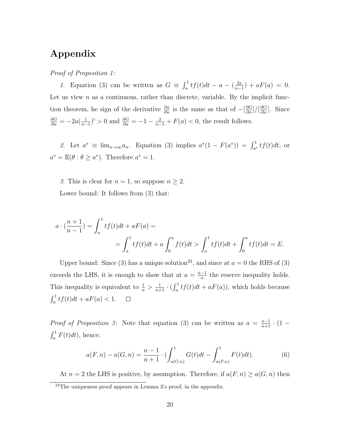## Appendix

Proof of Proposition 1:

1. Equation (3) can be written as  $G \equiv \int_a^1 tf(t)dt - a - (\frac{2a}{n-1})$  $\frac{2a}{n-1}$ ) +  $aF(a) = 0$ . Let us view  $n$  as a continuous, rather than discrete, variable. By the implicit function theorem, he sign of the derivative  $\frac{\partial a}{\partial n}$  is the same as that of  $-[\frac{\partial G}{\partial n}]/[\frac{\partial G}{\partial a}]$ . Since  $\frac{\partial G}{\partial n} = -2a(\frac{1}{n-1})$  $\frac{1}{n-1}$ ' > 0 and  $\frac{\partial G}{\partial a} = -1 - \frac{2}{n-1} + F(a) < 0$ , the result follows.

2. Let  $a^* \equiv \lim_{n \to \infty} a_n$ . Equation (3) implies  $a^*(1 - F(a^*)) = \int_{a^*}^1 t f(t) dt$ , or  $a^* = \mathbb{E}(\theta : \theta \geq a^*)$ . Therefore  $a^* = 1$ .

3. This is clear for  $n = 1$ , so suppose  $n \geq 2$ . Lower bound: It follows from  $(3)$  that:

$$
a \cdot (\frac{n+1}{n-1}) = \int_a^1 t f(t) dt + aF(a) =
$$
  
= 
$$
\int_a^1 t f(t) dt + a \int_0^a f(t) dt > \int_a^1 t f(t) dt + \int_0^a t f(t) dt = E.
$$

Upper bound: Since (3) has a unique solution<sup>23</sup>, and since at  $a = 0$  the RHS of (3) exceeds the LHS, it is enough to show that at  $a = \frac{n-1}{n}$  $\frac{-1}{n}$  the reserve inequality holds. This inequality is equivalent to  $\frac{1}{n} > \frac{1}{n+1} \cdot (\int_a^1 t f(t) dt + aF(a))$ , which holds because  $\int_{a}^{1} tf(t)dt + aF(a) < 1.$  $\Box$ 

*Proof of Proposition 3*: Note that equation (3) can be written as  $a = \frac{n-1}{n+1} \cdot (1 \int_a^1 F(t)dt$ , hence:

$$
a(F,n) - a(G,n) = \frac{n-1}{n+1} \cdot \left( \int_{a(G,n)}^1 G(t)dt - \int_{a(F,n)}^1 F(t)dt \right). \tag{6}
$$

At  $n = 2$  the LHS is positive, by assumption. Therefore, if  $a(F, n) \ge a(G, n)$  then

 $23$ The uniqueness proof appears in Lemma 3's proof, in the appendix.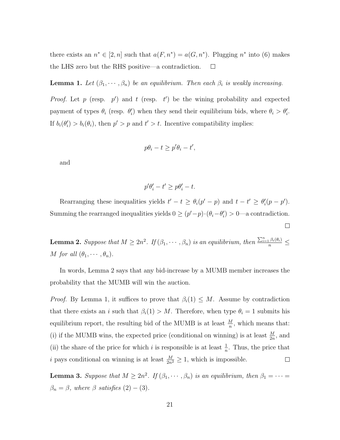there exists an  $n^* \in [2, n]$  such that  $a(F, n^*) = a(G, n^*)$ . Plugging  $n^*$  into (6) makes the LHS zero but the RHS positive—a contradiction.  $\Box$ 

**Lemma 1.** Let  $(\beta_1, \dots, \beta_n)$  be an equilibrium. Then each  $\beta_i$  is weakly increasing.

*Proof.* Let p (resp.  $p'$ ) and t (resp.  $t'$ ) be the wining probability and expected payment of types  $\theta_i$  (resp.  $\theta'_i$ ) when they send their equilibrium bids, where  $\theta_i > \theta'_i$ . If  $b_i(\theta'_i) > b_i(\theta_i)$ , then  $p' > p$  and  $t' > t$ . Incentive compatibility implies:

$$
p\theta_i - t \ge p'\theta_i - t',
$$

and

$$
p'\theta_i' - t' \ge p\theta_i' - t.
$$

Rearranging these inequalities yields  $t' - t \geq \theta_i(p' - p)$  and  $t - t' \geq \theta'_i(p - p')$ . Summing the rearranged inequalities yields  $0 \ge (p'-p) \cdot (\theta_i - \theta'_i) > 0$ —a contradiction.

 $\Box$ 

**Lemma 2.** Suppose that  $M \geq 2n^2$ . If  $(\beta_1, \dots, \beta_n)$  is an equilibrium, then  $\frac{\sum_{i=1}^n \beta_i(\theta_i)}{n} \leq$ M for all  $(\theta_1, \cdots, \theta_n)$ .

In words, Lemma 2 says that any bid-increase by a MUMB member increases the probability that the MUMB will win the auction.

*Proof.* By Lemma 1, it suffices to prove that  $\beta_i(1) \leq M$ . Assume by contradiction that there exists an *i* such that  $\beta_i(1) > M$ . Therefore, when type  $\theta_i = 1$  submits his equilibrium report, the resulting bid of the MUMB is at least  $\frac{M}{n}$ , which means that: (i) if the MUMB wins, the expected price (conditional on winning) is at least  $\frac{M}{2n}$ , and (ii) the share of the price for which i is responsible is at least  $\frac{1}{n}$ . Thus, the price that i pays conditional on winning is at least  $\frac{M}{2n^2} \geq 1$ , which is impossible.  $\Box$ 

**Lemma 3.** Suppose that  $M \geq 2n^2$ . If  $(\beta_1, \dots, \beta_n)$  is an equilibrium, then  $\beta_1 = \dots =$  $\beta_n = \beta$ , where  $\beta$  satisfies  $(2) - (3)$ .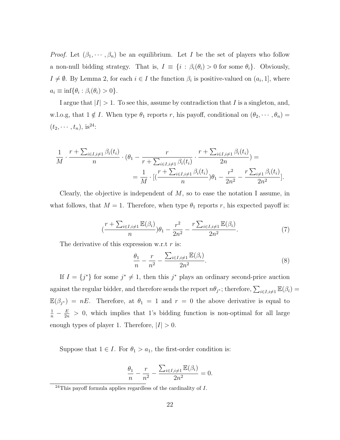*Proof.* Let  $(\beta_1, \dots, \beta_n)$  be an equilibrium. Let I be the set of players who follow a non-null bidding strategy. That is,  $I = \{i : \beta_i(\theta_i) > 0 \text{ for some } \theta_i\}$ . Obviously,  $I \neq \emptyset$ . By Lemma 2, for each  $i \in I$  the function  $\beta_i$  is positive-valued on  $(a_i, 1]$ , where  $a_i \equiv \inf \{ \theta_i : \beta_i(\theta_i) > 0 \}.$ 

I argue that  $|I| > 1$ . To see this, assume by contradiction that I is a singleton, and, w.l.o.g, that  $1 \notin I$ . When type  $\theta_1$  reports r, his payoff, conditional on  $(\theta_2, \dots, \theta_n) =$  $(t_2, \cdots, t_n)$ , is<sup>24</sup>:

$$
\frac{1}{M} \cdot \frac{r + \sum_{i \in I, i \neq 1} \beta_i(t_i)}{n} \cdot (\theta_1 - \frac{r}{r + \sum_{i \in I, i \neq 1} \beta_i(t_i)}) =
$$
\n
$$
= \frac{1}{M} \cdot \left[ \left( \frac{r + \sum_{i \in I, i \neq 1} \beta_i(t_i)}{n} \right) \theta_1 - \frac{r^2}{2n^2} - \frac{r \sum_{i \neq 1} \beta_i(t_i)}{2n^2} \right].
$$

Clearly, the objective is independent of  $M$ , so to ease the notation I assume, in what follows, that  $M = 1$ . Therefore, when type  $\theta_1$  reports r, his expected payoff is:

$$
\left(\frac{r+\sum_{i\in I, i\neq 1}\mathbb{E}(\beta_i)}{n}\right)\theta_1 - \frac{r^2}{2n^2} - \frac{r\sum_{i\in I, i\neq 1}\mathbb{E}(\beta_i)}{2n^2}.\tag{7}
$$

The derivative of this expression w.r.t  $r$  is:

$$
\frac{\theta_1}{n} - \frac{r}{n^2} - \frac{\sum_{i \in I, i \neq 1} \mathbb{E}(\beta_i)}{2n^2}.
$$
\n
$$
(8)
$$

If  $I = \{j^*\}\$ for some  $j^* \neq 1$ , then this  $j^*$  plays an ordinary second-price auction against the regular bidder, and therefore sends the report  $n\theta_{j^*}$ ; therefore,  $\sum_{i\in I, i\neq 1} \mathbb{E}(\beta_i)$  $\mathbb{E}(\beta_{j^*}) = nE$ . Therefore, at  $\theta_1 = 1$  and  $r = 0$  the above derivative is equal to  $\frac{1}{n} - \frac{E}{2n} > 0$ , which implies that 1's bidding function is non-optimal for all large enough types of player 1. Therefore,  $|I| > 0$ .

Suppose that  $1 \in I$ . For  $\theta_1 > a_1$ , the first-order condition is:

$$
\frac{\theta_1}{n} - \frac{r}{n^2} - \frac{\sum_{i \in I, i \neq 1} \mathbb{E}(\beta_i)}{2n^2} = 0.
$$

 $\frac{24}{10}$ This payoff formula applies regardless of the cardinality of I.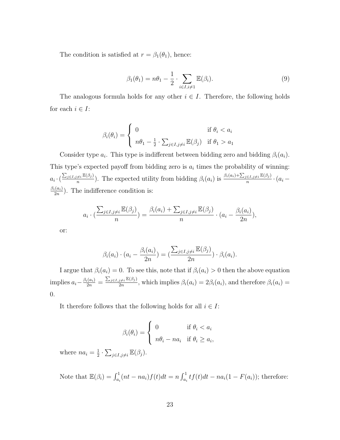The condition is satisfied at  $r = \beta_1(\theta_1)$ , hence:

$$
\beta_1(\theta_1) = n\theta_1 - \frac{1}{2} \cdot \sum_{i \in I, i \neq 1} \mathbb{E}(\beta_i). \tag{9}
$$

The analogous formula holds for any other  $i \in I$ . Therefore, the following holds for each  $i \in I$ :

$$
\beta_i(\theta_i) = \begin{cases} 0 & \text{if } \theta_i < a_i \\ n\theta_1 - \frac{1}{2} \cdot \sum_{j \in I, j \neq i} \mathbb{E}(\beta_j) & \text{if } \theta_1 > a_1 \end{cases}
$$

Consider type  $a_i$ . This type is indifferent between bidding zero and bidding  $\beta_i(a_i)$ . This type's expected payoff from bidding zero is  $a_i$  times the probability of winning:  $a_i \cdot (\frac{\sum_{j \in I, j \neq i} \mathbb{E}(\beta_j)}{n})$  $\frac{\partial f_i(\beta_i)}{\partial n}$ . The expected utility from bidding  $\beta_i(a_i)$  is  $\frac{\beta_i(a_i) + \sum_{j \in I, j \neq i} \mathbb{E}(\beta_j)}{n}$  $\frac{\sum_{i=1}^{n} a_i \sum_{j=1}^{n} a_j}{n} \cdot (a_i \beta_i(a_i)$  $\frac{(\alpha_i)}{2n}$ ). The indifference condition is:

$$
a_i \cdot (\frac{\sum_{j \in I, j \neq i} \mathbb{E}(\beta_j)}{n}) = \frac{\beta_i(a_i) + \sum_{j \in I, j \neq i} \mathbb{E}(\beta_j)}{n} \cdot (a_i - \frac{\beta_i(a_i)}{2n}),
$$

or:

$$
\beta_i(a_i) \cdot (a_i - \frac{\beta_i(a_i)}{2n}) = \left( \frac{\sum_{j \in I, j \neq i} \mathbb{E}(\beta_j)}{2n} \right) \cdot \beta_i(a_i).
$$

I argue that  $\beta_i(a_i) = 0$ . To see this, note that if  $\beta_i(a_i) > 0$  then the above equation implies  $a_i - \frac{\beta_i(a_i)}{2n} = \frac{\sum_{j \in I, j \neq i} \mathbb{E}(\beta_j)}{2n}$  $\frac{2\beta_i^{\mu_i \mu_i}(\rho_j)}{2n}$ , which implies  $\beta_i(a_i) = 2\beta_i(a_i)$ , and therefore  $\beta_i(a_i) =$ 0.

It therefore follows that the following holds for all  $i \in I$ :

$$
\beta_i(\theta_i) = \begin{cases} 0 & \text{if } \theta_i < a_i \\ n\theta_i - na_i & \text{if } \theta_i \ge a_i, \end{cases}
$$

where  $na_i = \frac{1}{2}$  $\frac{1}{2} \cdot \sum_{j \in I, j \neq i} \mathbb{E}(\beta_j).$ 

Note that  $\mathbb{E}(\beta_i) = \int_{a_i}^1 (nt - na_i)f(t)dt = n \int_{a_i}^1 tf(t)dt - na_i(1 - F(a_i));$  therefore: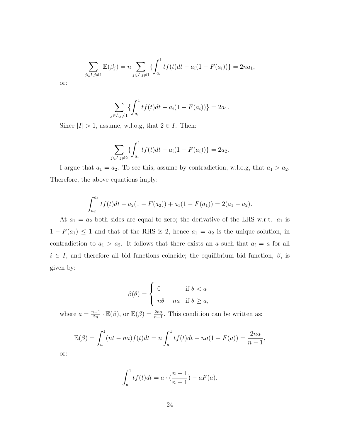$$
\sum_{j \in I, j \neq 1} \mathbb{E}(\beta_j) = n \sum_{j \in I, j \neq 1} \{ \int_{a_i}^1 t f(t) dt - a_i (1 - F(a_i)) \} = 2na_1,
$$

or:

$$
\sum_{j \in I, j \neq 1} \{ \int_{a_i}^1 t f(t) dt - a_i (1 - F(a_i)) \} = 2a_1.
$$

Since  $|I| > 1$ , assume, w.l.o.g, that  $2 \in I$ . Then:

$$
\sum_{j\in I, j\neq 2} \left\{ \int_{a_i}^1 t f(t) dt - a_i (1 - F(a_i)) \right\} = 2a_2.
$$

I argue that  $a_1 = a_2$ . To see this, assume by contradiction, w.l.o.g, that  $a_1 > a_2$ . Therefore, the above equations imply:

$$
\int_{a_2}^{a_1} tf(t)dt - a_2(1 - F(a_2)) + a_1(1 - F(a_1)) = 2(a_1 - a_2).
$$

At  $a_1 = a_2$  both sides are equal to zero; the derivative of the LHS w.r.t.  $a_1$  is  $1 - F(a_1) \le 1$  and that of the RHS is 2, hence  $a_1 = a_2$  is the unique solution, in contradiction to  $a_1 > a_2$ . It follows that there exists an a such that  $a_i = a$  for all  $i \in I$ , and therefore all bid functions coincide; the equilibrium bid function,  $\beta$ , is given by:

$$
\beta(\theta) = \begin{cases} 0 & \text{if } \theta < a \\ n\theta - na & \text{if } \theta \ge a, \end{cases}
$$

where  $a = \frac{n-1}{2n}$  $\mathbb{E}^{2n-1} \cdot \mathbb{E}(\beta)$ , or  $\mathbb{E}(\beta) = \frac{2na}{n-1}$ . This condition can be written as:

$$
\mathbb{E}(\beta) = \int_{a}^{1} (nt - na)f(t)dt = n \int_{a}^{1} tf(t)dt - na(1 - F(a)) = \frac{2na}{n - 1},
$$

or:

$$
\int_a^1 t f(t) dt = a \cdot \left(\frac{n+1}{n-1}\right) - aF(a).
$$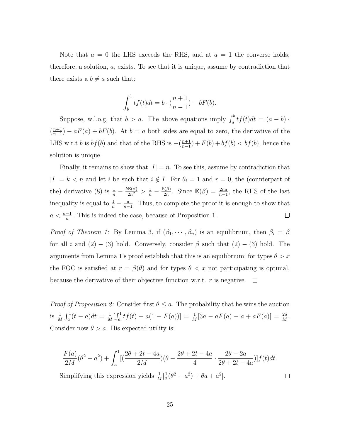Note that  $a = 0$  the LHS exceeds the RHS, and at  $a = 1$  the converse holds; therefore, a solution, a, exists. To see that it is unique, assume by contradiction that there exists a  $b \neq a$  such that:

$$
\int_b^1 tf(t)dt = b \cdot (\frac{n+1}{n-1}) - bF(b).
$$

Suppose, w.l.o.g, that  $b > a$ . The above equations imply  $\int_a^b tf(t)dt = (a - b)$ .  $\left(\frac{n+1}{n-1}\right)$  $\frac{n+1}{n-1}$  –  $aF(a) + bF(b)$ . At  $b = a$  both sides are equal to zero, the derivative of the LHS w.r.t b is  $bf(b)$  and that of the RHS is  $-(\frac{n+1}{n-1})$  $\frac{n+1}{n-1}$  +  $F(b) + bf(b) < bf(b)$ , hence the solution is unique.

Finally, it remains to show that  $|I| = n$ . To see this, assume by contradiction that  $|I| = k < n$  and let i be such that  $i \notin I$ . For  $\theta_i = 1$  and  $r = 0$ , the (counterpart of the) derivative (8) is  $\frac{1}{n} - \frac{k \mathbb{E}(\beta)}{2n^2} > \frac{1}{n} - \frac{\mathbb{E}(\beta)}{2n}$  $\frac{\Sigma(\beta)}{2n}$ . Since  $\mathbb{E}(\beta) = \frac{2na}{n-1}$ , the RHS of the last inequality is equal to  $\frac{1}{n} - \frac{a}{n-1}$  $\frac{a}{n-1}$ . Thus, to complete the proof it is enough to show that  $a < \frac{n-1}{n}$ . This is indeed the case, because of Proposition 1.  $\Box$ 

*Proof of Theorem 1:* By Lemma 3, if  $(\beta_1, \dots, \beta_n)$  is an equilibrium, then  $\beta_i = \beta$ for all i and  $(2) - (3)$  hold. Conversely, consider  $\beta$  such that  $(2) - (3)$  hold. The arguments from Lemma 1's proof establish that this is an equilibrium; for types  $\theta > x$ the FOC is satisfied at  $r = \beta(\theta)$  and for types  $\theta < x$  not participating is optimal, because the derivative of their objective function w.r.t. r is negative.  $\Box$ 

*Proof of Proposition 2:* Consider first  $\theta \leq a$ . The probability that he wins the auction is  $\frac{1}{M} \int_{a}^{1} (t-a) dt = \frac{1}{M}$  $\frac{1}{M}[\int_a^1 tf(t) - a(1 - F(a))] = \frac{1}{M}[3a - aF(a) - a + aF(a)] = \frac{2a}{M}.$ Consider now  $\theta > a$ . His expected utility is:

$$
\frac{F(a)}{2M}(\theta^2 - a^2) + \int_a^1 [(\frac{2\theta + 2t - 4a}{2M})(\theta - \frac{2\theta + 2t - 4a}{4} \cdot \frac{2\theta - 2a}{2\theta + 2t - 4a})]f(t)dt.
$$

 $\Box$ 

Simplifying this expression yields  $\frac{1}{M}[\frac{1}{2}]$  $\frac{1}{2}(\theta^2 - a^2) + \theta a + a^2$ .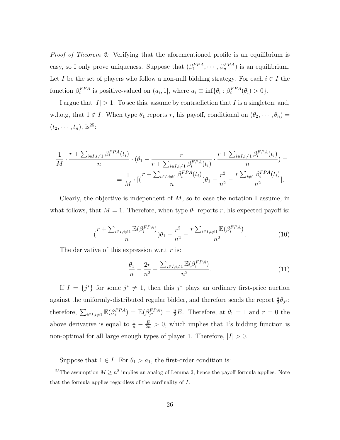Proof of Theorem 2: Verifying that the aforementioned profile is an equilibrium is easy, so I only prove uniqueness. Suppose that  $(\beta_1^{FPA}, \cdots, \beta_n^{FPA})$  is an equilibrium. Let  $I$  be the set of players who follow a non-null bidding strategy. For each  $i\in I$  the function  $\beta_i^{FPA}$  is positive-valued on  $(a_i, 1]$ , where  $a_i \equiv \inf \{ \theta_i : \beta_i^{FPA}(\theta_i) > 0 \}.$ 

I argue that  $|I| > 1$ . To see this, assume by contradiction that I is a singleton, and, w.l.o.g, that  $1 \notin I$ . When type  $\theta_1$  reports r, his payoff, conditional on  $(\theta_2, \dots, \theta_n) =$  $(t_2, \cdots, t_n)$ , is<sup>25</sup>:

$$
\frac{1}{M} \cdot \frac{r + \sum_{i \in I, i \neq 1} \beta_i^{FPA}(t_i)}{n} \cdot (\theta_1 - \frac{r}{r + \sum_{i \in I, i \neq 1} \beta_i^{FPA}(t_i)} \cdot \frac{r + \sum_{i \in I, i \neq 1} \beta_i^{FPA}(t_i)}{n}) =
$$
\n
$$
= \frac{1}{M} \cdot \left[ \left( \frac{r + \sum_{i \in I, i \neq 1} \beta_i^{FPA}(t_i)}{n} \right) \theta_1 - \frac{r^2}{n^2} - \frac{r \sum_{i \neq 1} \beta_i^{FPA}(t_i)}{n^2} \right].
$$

Clearly, the objective is independent of  $M$ , so to ease the notation I assume, in what follows, that  $M = 1$ . Therefore, when type  $\theta_1$  reports r, his expected payoff is:

$$
\left(\frac{r+\sum_{i\in I, i\neq 1} \mathbb{E}(\beta_i^{FPA})}{n}\right)\theta_1 - \frac{r^2}{n^2} - \frac{r\sum_{i\in I, i\neq 1} \mathbb{E}(\beta_i^{FPA})}{n^2}.\tag{10}
$$

The derivative of this expression w.r.t  $r$  is:

$$
\frac{\theta_1}{n} - \frac{2r}{n^2} - \frac{\sum_{i \in I, i \neq 1} \mathbb{E}(\beta_i^{FPA})}{n^2}.
$$
\n
$$
(11)
$$

If  $I = \{j^*\}\$ for some  $j^* \neq 1$ , then this  $j^*$  plays an ordinary first-price auction against the uniformly-distributed regular bidder, and therefore sends the report  $\frac{n}{2}\theta_{j^*}$ ; therefore,  $\sum_{i\in I, i\neq 1} \mathbb{E}(\beta_i^{FPA}) = \mathbb{E}(\beta_{j^*}^{FPA}) = \frac{n}{2}E$ . Therefore, at  $\theta_1 = 1$  and  $r = 0$  the above derivative is equal to  $\frac{1}{n} - \frac{E}{2n} > 0$ , which implies that 1's bidding function is non-optimal for all large enough types of player 1. Therefore,  $|I| > 0$ .

Suppose that  $1 \in I$ . For  $\theta_1 > a_1$ , the first-order condition is:

<sup>&</sup>lt;sup>25</sup>The assumption  $M \geq n^2$  implies an analog of Lemma 2, hence the payoff formula applies. Note that the formula applies regardless of the cardinality of I.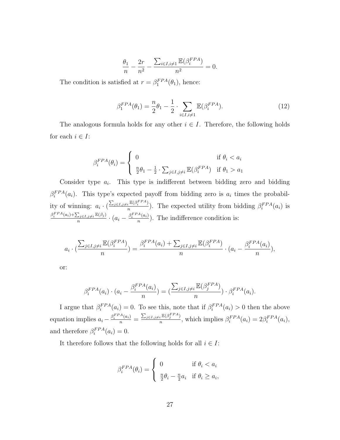$$
\frac{\theta_1}{n} - \frac{2r}{n^2} - \frac{\sum_{i \in I, i \neq 1} \mathbb{E}(\beta_i^{FPA})}{n^2} = 0.
$$

The condition is satisfied at  $r = \beta_1^{FPA}(\theta_1)$ , hence:

$$
\beta_1^{FPA}(\theta_1) = \frac{n}{2}\theta_1 - \frac{1}{2} \cdot \sum_{i \in I, i \neq 1} \mathbb{E}(\beta_i^{FPA}). \tag{12}
$$

The analogous formula holds for any other  $i \in I$ . Therefore, the following holds for each  $i \in I$ :

$$
\beta_i^{FPA}(\theta_i) = \begin{cases} 0 & \text{if } \theta_i < a_i \\ \frac{n}{2}\theta_1 - \frac{1}{2} \cdot \sum_{j \in I, j \neq i} \mathbb{E}(\beta_i^{FPA}) & \text{if } \theta_1 > a_1 \end{cases}
$$

Consider type  $a_i$ . This type is indifferent between bidding zero and bidding  $\beta_i^{FPA}(a_i)$ . This type's expected payoff from bidding zero is  $a_i$  times the probability of winning:  $a_i \cdot (\frac{\sum_{j \in I, j \neq i} \mathbb{E}(\beta_i^{FPA})}{n})$  $\frac{1}{n} \mathbb{E}(\beta_i^{\text{max}})$ . The expected utility from bidding  $\beta_i^{FPA}(a_i)$  is  $\beta_i^{FPA}(a_i) + \sum_{j \in I, j \neq i} \mathbb{E}(\beta_j)$  $\frac{\sum_{j\in I, j\neq i}\mathbb{E}(\beta_j)}{n}\cdot \big(a_i - \frac{\beta_i^{FPA}(a_i)}{n}\big)$  $\frac{\Gamma(a_i)}{n}$ ). The indifference condition is:

$$
a_i \cdot (\frac{\sum_{j \in I, j \neq i} \mathbb{E}(\beta_i^{FPA})}{n}) = \frac{\beta_i^{FPA}(a_i) + \sum_{j \in I, j \neq i} \mathbb{E}(\beta_i^{FPA})}{n} \cdot (a_i - \frac{\beta_i^{FPA}(a_i)}{n}),
$$

or:

$$
\beta_i^{FPA}(a_i) \cdot (a_i - \frac{\beta_i^{FPA}(a_i)}{n}) = \left(\frac{\sum_{j \in I, j \neq i} \mathbb{E}(\beta_j^{FPA})}{n}\right) \cdot \beta_i^{FPA}(a_i).
$$

I argue that  $\beta_i^{FPA}(a_i) = 0$ . To see this, note that if  $\beta_i^{FPA}(a_i) > 0$  then the above equation implies  $a_i - \frac{\beta_i^{FPA}(a_i)}{n} = \frac{\sum_{j \in I, j \neq i} \mathbb{E}(\beta_j^{FPA})}{n}$  $\frac{\partial_i E(\beta_i^2 \cdot \cdots)}{\partial n}$ , which implies  $\beta_i^{FPA}(a_i) = 2\beta_i^{FPA}(a_i)$ , and therefore  $\beta_i^{FPA}(a_i) = 0$ .

It therefore follows that the following holds for all  $i \in I$ :

$$
\beta_i^{FPA}(\theta_i) = \begin{cases} 0 & \text{if } \theta_i < a_i \\ \frac{n}{2}\theta_i - \frac{n}{2}a_i & \text{if } \theta_i \ge a_i, \end{cases}
$$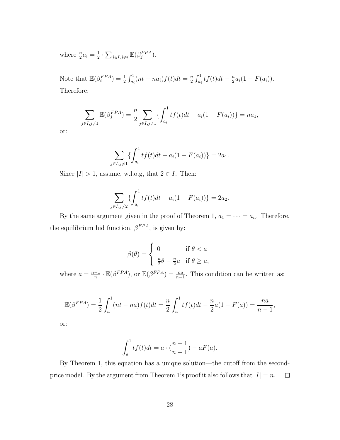where  $\frac{n}{2}a_i = \frac{1}{2}$  $\frac{1}{2} \cdot \sum_{j \in I, j \neq i} \mathbb{E}(\beta_j^{FPA}).$ 

Note that  $\mathbb{E}(\beta_i^{FPA}) = \frac{1}{2} \int_{a_i}^1 (nt - na_i) f(t) dt = \frac{n}{2}$  $\frac{n}{2}\int_{a_i}^1 tf(t)dt - \frac{n}{2}$  $\frac{n}{2}a_i(1 - F(a_i)).$ Therefore:

$$
\sum_{j \in I, j \neq 1} \mathbb{E}(\beta_j^{FPA}) = \frac{n}{2} \sum_{j \in I, j \neq 1} \{ \int_{a_i}^1 t f(t) dt - a_i (1 - F(a_i)) \} = na_1,
$$

or:

$$
\sum_{j\in I, j\neq 1} \left\{ \int_{a_i}^1 tf(t)dt - a_i(1 - F(a_i)) \right\} = 2a_1.
$$

Since  $|I| > 1$ , assume, w.l.o.g, that  $2 \in I$ . Then:

$$
\sum_{j\in I, j\neq 2} \left\{ \int_{a_i}^1 t f(t) dt - a_i (1 - F(a_i)) \right\} = 2a_2.
$$

By the same argument given in the proof of Theorem 1,  $a_1 = \cdots = a_n$ . Therefore, the equilibrium bid function,  $\beta^{FPA}$ , is given by:

$$
\beta(\theta) = \begin{cases} 0 & \text{if } \theta < a \\ \frac{n}{2}\theta - \frac{n}{2}a & \text{if } \theta \ge a, \end{cases}
$$

where  $a = \frac{n-1}{n}$  $\frac{-1}{n} \cdot \mathbb{E}(\beta^{FPA})$ , or  $\mathbb{E}(\beta^{FPA}) = \frac{na}{n-1}$ . This condition can be written as:

$$
\mathbb{E}(\beta^{FPA}) = \frac{1}{2} \int_{a}^{1} (nt - na) f(t) dt = \frac{n}{2} \int_{a}^{1} tf(t) dt - \frac{n}{2} a(1 - F(a)) = \frac{na}{n - 1},
$$

or:

$$
\int_a^1 tf(t)dt = a \cdot \left(\frac{n+1}{n-1}\right) - aF(a).
$$

By Theorem 1, this equation has a unique solution—the cutoff from the secondprice model. By the argument from Theorem 1's proof it also follows that  $|I| = n$ .  $\Box$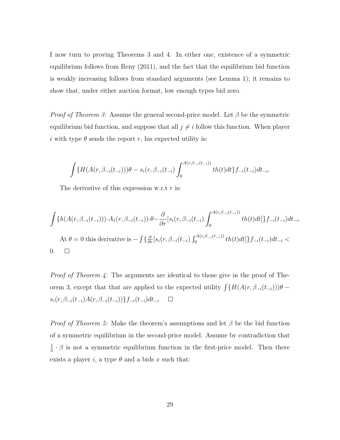I now turn to proving Theorems 3 and 4. In either one, existence of a symmetric equilibrium follows from Reny (2011), and the fact that the equilibrium bid function is weakly increasing follows from standard arguments (see Lemma 1); it remains to show that, under either auction format, low enough types bid zero.

*Proof of Theorem 3:* Assume the general second-price model. Let  $\beta$  be the symmetric equilibrium bid function, and suppose that all  $j \neq i$  follow this function. When player i with type  $\theta$  sends the report r, his expected utility is:

$$
\int \{H(A(r,\beta_{-i}(t_{-i})))\theta - s_i(r,\beta_{-i}(t_{-i})\int_0^{A(r,\beta_{-i}(t_{-i}))} th(t)dt\}f_{-i}(t_{-i})dt_{-i}.
$$

The derivative of this expression w.r.t  $r$  is:

$$
\int \left\{ h(A(r,\beta_{-i}(t_{-i}))) \cdot A_1(r,\beta_{-i}(t_{-i})) \cdot \theta - \frac{\partial}{\partial r} [s_i(r,\beta_{-i}(t_{-i})) \int_0^{A(r,\beta_{-i}(t_{-i}))} th(t)dt] \right\} f_{-i}(t_{-i}) dt_{-i}.
$$
\nAt  $\theta = 0$  this derivative is  $-\int \left\{ \frac{\partial}{\partial r} [s_i(r,\beta_{-i}(t_{-i})) \int_0^{A(r,\beta_{-i}(t_{-i}))} th(t)dt] \right\} f_{-i}(t_{-i}) dt_{-i} \n0. \quad \Box$ 

Proof of Theorem 4: The arguments are identical to those give in the proof of Theorem 3, except that that are applied to the expected utility  $\int \{H(A(r, \beta_{-i}(t_{-i})))\theta$  $s_i(r, \beta_{-i}(t_{-i})A(r, \beta_{-i}(t_{-i}))\}f_{-i}(t_{-i})dt_{-i}$  $\Box$ 

*Proof of Theorem 5:* Make the theorem's assumptions and let  $\beta$  be the bid function of a symmetric equilibrium in the second-price model. Assume by contradiction that 1  $\frac{1}{2} \cdot \beta$  is not a symmetric equilibrium function in the first-price model. Then there exists a player i, a type  $\theta$  and a bids x such that: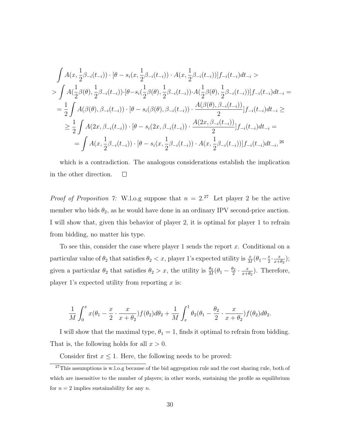$$
\int A(x, \frac{1}{2}\beta_{-i}(t_{-i})) \cdot [\theta - s_i(x, \frac{1}{2}\beta_{-i}(t_{-i})) \cdot A(x, \frac{1}{2}\beta_{-i}(t_{-i}))]f_{-i}(t_{-i})dt_{-i} > \n> \int A(\frac{1}{2}\beta(\theta), \frac{1}{2}\beta_{-i}(t_{-i})) \cdot [\theta - s_i(\frac{1}{2}\beta(\theta), \frac{1}{2}\beta_{-i}(t_{-i})) \cdot A(\frac{1}{2}\beta(\theta), \frac{1}{2}\beta_{-i}(t_{-i}))]f_{-i}(t_{-i})dt_{-i} = \n= \frac{1}{2} \int A(\beta(\theta), \beta_{-i}(t_{-i})) \cdot [\theta - s_i(\beta(\theta), \beta_{-i}(t_{-i})) \cdot \frac{A(\beta(\theta), \beta_{-i}(t_{-i}))}{2}]f_{-i}(t_{-i})dt_{-i} \ge \n\geq \frac{1}{2} \int A(2x, \beta_{-i}(t_{-i})) \cdot [\theta - s_i(2x, \beta_{-i}(t_{-i})) \cdot \frac{A(2x, \beta_{-i}(t_{-i}))}{2}]f_{-i}(t_{-i})dt_{-i} = \n= \int A(x, \frac{1}{2}\beta_{-i}(t_{-i})) \cdot [\theta - s_i(x, \frac{1}{2}\beta_{-i}(t_{-i})) \cdot A(x, \frac{1}{2}\beta_{-i}(t_{-i}))]f_{-i}(t_{-i})dt_{-i}, \frac{2\beta_{-i}(t_{-i})}{2}]f_{-i}(t_{-i})dt_{-i} =
$$

which is a contradiction. The analogous considerations establish the implication in the other direction.  $\Box$ 

*Proof of Proposition 7:* W.l.o.g suppose that  $n = 2.27$  Let player 2 be the active member who bids  $\theta_2$ , as he would have done in an ordinary IPV second-price auction. I will show that, given this behavior of player 2, it is optimal for player 1 to refrain from bidding, no matter his type.

To see this, consider the case where player 1 sends the report x. Conditional on a particular value of  $\theta_2$  that satisfies  $\theta_2 < x$ , player 1's expected utility is  $\frac{x}{M}(\theta_1 - \frac{x}{2})$  $rac{x}{2} \cdot \frac{x}{x+1}$  $\frac{x}{x+\theta_2}$ ); given a particular  $\theta_2$  that satisfies  $\theta_2 > x$ , the utility is  $\frac{\theta_2}{M}(\theta_1 - \frac{\theta_2}{2})$  $\frac{\theta_2}{2} \cdot \frac{x}{x+1}$  $\frac{x}{x+\theta_2}$ ). Therefore, player 1's expected utility from reporting  $x$  is:

$$
\frac{1}{M}\int_0^x x(\theta_1-\frac{x}{2}\cdot\frac{x}{x+\theta_2})f(\theta_2)d\theta_2+\frac{1}{M}\int_x^1\theta_2(\theta_1-\frac{\theta_2}{2}\cdot\frac{x}{x+\theta_2})f(\theta_2)d\theta_2.
$$

I will show that the maximal type,  $\theta_1 = 1$ , finds it optimal to refrain from bidding. That is, the following holds for all  $x > 0$ .

Consider first  $x \leq 1$ . Here, the following needs to be proved:

<sup>&</sup>lt;sup>27</sup>This assumptions is w.l.o.g because of the bid aggregation rule and the cost sharing rule, both of which are insensitive to the number of players; in other words, sustaining the profile as equilibrium for  $n = 2$  implies sustainability for any n.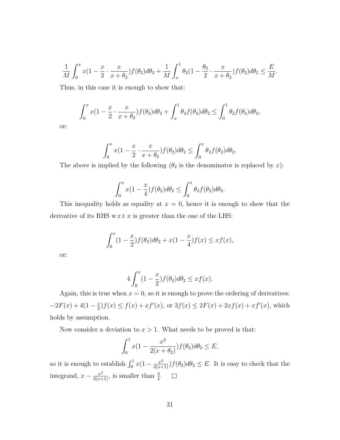$$
\frac{1}{M}\int_0^x x(1-\frac{x}{2}\cdot\frac{x}{x+\theta_2})f(\theta_2)d\theta_2+\frac{1}{M}\int_x^1\theta_2(1-\frac{\theta_2}{2}\cdot\frac{x}{x+\theta_2})f(\theta_2)d\theta_2\leq \frac{E}{M}.
$$

Thus, in this case it is enough to show that:

$$
\int_0^x x(1-\frac{x}{2}\cdot\frac{x}{x+\theta_2})f(\theta_2)d\theta_2+\int_x^1 \theta_2f(\theta_2)d\theta_2 \leq \int_0^1 \theta_2f(\theta_2)d\theta_2,
$$

or:

$$
\int_0^x x(1-\frac{x}{2}\cdot\frac{x}{x+\theta_2})f(\theta_2)d\theta_2 \le \int_0^x \theta_2 f(\theta_2)d\theta_2.
$$

The above is implied by the following  $(\theta_2$  is the denominator is replaced by x):

$$
\int_0^x x(1-\frac{x}{4})f(\theta_2)d\theta_2 \le \int_0^x \theta_2 f(\theta_2)d\theta_2.
$$

This inequality holds as equality at  $x = 0$ , hence it is enough to show that the derivative of its RHS w.r.t  $x$  is greater than the one of the LHS:

$$
\int_0^x (1 - \frac{x}{2}) f(\theta_2) d\theta_2 + x(1 - \frac{x}{4}) f(x) \le x f(x),
$$

or:

$$
4\int_0^x (1-\frac{x}{2})f(\theta_2)d\theta_2 \leq x f(x).
$$

Again, this is true when  $x = 0$ , so it is enough to prove the ordering of derivatives:  $-2F(x) + 4(1-\frac{x}{2})$  $\frac{x}{2} f(x) \le f(x) + xf'(x)$ , or  $3f(x) \le 2F(x) + 2xf(x) + xf'(x)$ , which holds by assumption.

Now consider a deviation to  $x > 1$ . What needs to be proved is that:

$$
\int_0^1 x(1 - \frac{x^2}{2(x + \theta_2)}) f(\theta_2) d\theta_2 \le E,
$$

so it is enough to establish  $\int_0^1 x(1 - \frac{x^2}{2(x+1)}) f(\theta_2) d\theta_2 \leq E$ . It is easy to check that the integrand,  $x - \frac{x^3}{2(x+1)}$ , is smaller than  $\frac{3}{4}$ .  $\Box$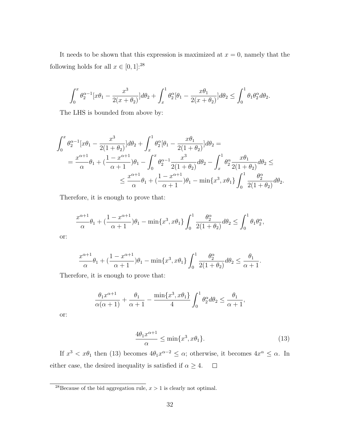It needs to be shown that this expression is maximized at  $x = 0$ , namely that the following holds for all  $x \in [0,1] \mathpunct{:}^{28}$ 

$$
\int_0^x \theta_2^{\alpha-1} [x\theta_1 - \frac{x^3}{2(x+\theta_2)}] d\theta_2 + \int_x^1 \theta_2^{\alpha} [\theta_1 - \frac{x\theta_1}{2(x+\theta_2)}] d\theta_2 \le \int_0^1 \theta_1 \theta_2^{\alpha} d\theta_2.
$$

The LHS is bounded from above by:

$$
\int_0^x \theta_2^{\alpha-1} [x\theta_1 - \frac{x^3}{2(1+\theta_2)}] d\theta_2 + \int_x^1 \theta_2^{\alpha} [\theta_1 - \frac{x\theta_1}{2(1+\theta_2)}] d\theta_2 =
$$
\n
$$
= \frac{x^{\alpha+1}}{\alpha} \theta_1 + \left(\frac{1-x^{\alpha+1}}{\alpha+1}\right) \theta_1 - \int_0^x \theta_2^{\alpha-1} \frac{x^3}{2(1+\theta_2)} d\theta_2 - \int_x^1 \theta_2^{\alpha} \frac{x\theta_1}{2(1+\theta_2)} d\theta_2 \le
$$
\n
$$
\le \frac{x^{\alpha+1}}{\alpha} \theta_1 + \left(\frac{1-x^{\alpha+1}}{\alpha+1}\right) \theta_1 - \min\{x^3, x\theta_1\} \int_0^1 \frac{\theta_2^{\alpha}}{2(1+\theta_2)} d\theta_2.
$$

Therefore, it is enough to prove that:

$$
\frac{x^{\alpha+1}}{\alpha}\theta_1 + \left(\frac{1-x^{\alpha+1}}{\alpha+1}\right)\theta_1 - \min\{x^3, x\theta_1\} \int_0^1 \frac{\theta_2^{\alpha}}{2(1+\theta_2)} d\theta_2 \le \int_0^1 \theta_1 \theta_2^{\alpha},
$$

or:

$$
\frac{x^{\alpha+1}}{\alpha}\theta_1 + \left(\frac{1-x^{\alpha+1}}{\alpha+1}\right)\theta_1 - \min\{x^3, x\theta_1\} \int_0^1 \frac{\theta_2^{\alpha}}{2(1+\theta_2)} d\theta_2 \le \frac{\theta_1}{\alpha+1}.
$$

Therefore, it is enough to prove that:

$$
\frac{\theta_1 x^{\alpha+1}}{\alpha(\alpha+1)} + \frac{\theta_1}{\alpha+1} - \frac{\min\{x^3, x\theta_1\}}{4} \int_0^1 \theta_2^{\alpha} d\theta_2 \le \frac{\theta_1}{\alpha+1},
$$

or:

$$
\frac{4\theta_1 x^{\alpha+1}}{\alpha} \le \min\{x^3, x\theta_1\}.
$$
\n(13)

If  $x^3 < x\theta_1$  then (13) becomes  $4\theta_1 x^{\alpha-2} \leq \alpha$ ; otherwise, it becomes  $4x^{\alpha} \leq \alpha$ . In either case, the desired inequality is satisfied if  $\alpha \geq 4$ .  $\Box$ 

<sup>&</sup>lt;sup>28</sup>Because of the bid aggregation rule,  $x > 1$  is clearly not optimal.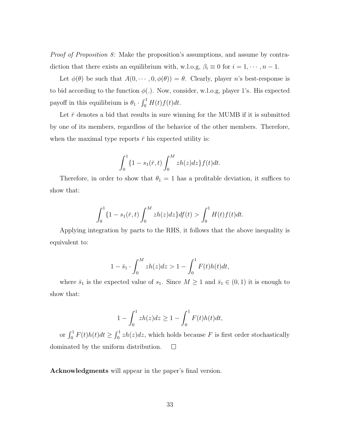Proof of Proposition 8: Make the proposition's assumptions, and assume by contradiction that there exists an equilibrium with, w.l.o.g,  $\beta_i \equiv 0$  for  $i = 1, \dots, n - 1$ .

Let  $\phi(\theta)$  be such that  $A(0, \dots, 0, \phi(\theta)) = \theta$ . Clearly, player *n*'s best-response is to bid according to the function  $\phi(.)$ . Now, consider, w.l.o.g, player 1's. His expected payoff in this equilibrium is  $\theta_1 \cdot \int_0^1 H(t)f(t)dt$ .

Let  $\bar{r}$  denotes a bid that results in sure winning for the MUMB if it is submitted by one of its members, regardless of the behavior of the other members. Therefore, when the maximal type reports  $\bar{r}$  his expected utility is:

$$
\int_0^1 \{1 - s_1(\bar{r}, t) \int_0^M zh(z)dz\} f(t)dt.
$$

Therefore, in order to show that  $\theta_1 = 1$  has a profitable deviation, it suffices to show that:

$$
\int_0^1 \{1 - s_1(\bar{r}, t) \int_0^M zh(z)dz\} df(t) > \int_0^1 H(t)f(t)dt.
$$

Applying integration by parts to the RHS, it follows that the above inequality is equivalent to:

$$
1 - \bar{s}_1 \cdot \int_0^M zh(z)dz > 1 - \int_0^1 F(t)h(t)dt,
$$

where  $\bar{s}_1$  is the expected value of  $s_1$ . Since  $M \geq 1$  and  $\bar{s}_1 \in (0,1)$  it is enough to show that:

$$
1 - \int_0^1 zh(z)dz \ge 1 - \int_0^1 F(t)h(t)dt,
$$

or  $\int_0^1 F(t)h(t)dt \geq \int_0^1 zh(z)dz$ , which holds because F is first order stochastically dominated by the uniform distribution.  $\Box$ 

Acknowledgments will appear in the paper's final version.